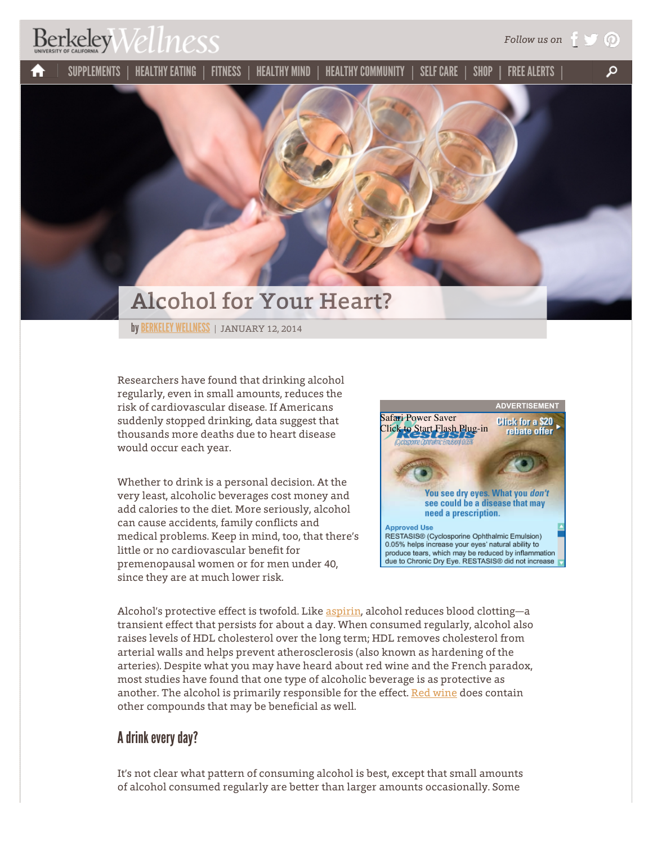## $BerkeleyWellness$

[SUPPLEMENTS](http://www.berkeleywellness.com/supplements)  $\parallel$  healthy eating  $\parallel$  fitness  $\parallel$  healthy mind  $\parallel$  healthy community  $\parallel$  self care  $\parallel$  shop  $\parallel$  free alerts α m



by BERKELEY WELLNESS | JANUARY 12, 2014

Researchers have found that drinking alcohol regularly, even in small amounts, reduces the risk of cardiovascular disease. If Americans suddenly stopped drinking, data suggest that thousands more deaths due to heart disease would occur each year.

Whether to drink is a personal decision. At the very least, alcoholic beverages cost money and add calories to the diet. More seriously, alcohol can cause accidents, family conflicts and medical problems. Keep in mind, too, that there's little or no cardiovascular benefit for premenopausal women or for men under 40, since they are at much lower risk.



*Follow us on*

(①

Alcohol's protective effect is twofold. Like [aspirin,](http://www.berkeleywellness.com/self-care/over-counter-products/article/scoop-low-dose-aspirin) alcohol reduces blood clotting—a transient effect that persists for about a day. When consumed regularly, alcohol also raises levels of HDL cholesterol over the long term; HDL removes cholesterol from arterial walls and helps prevent atherosclerosis (also known as hardening of the arteries). Despite what you may have heard about red wine and the French paradox, most studies have found that one type of alcoholic beverage is as protective as another. The alcohol is primarily responsible for the effect. [Red wine](http://www.berkeleywellness.com/supplements/other-supplements/article/can-resveratrol-fight-aging) does contain other compounds that may be beneficial as well.

## A drink every day?

It's not clear what pattern of consuming alcohol is best, except that small amounts of alcohol consumed regularly are better than larger amounts occasionally. Some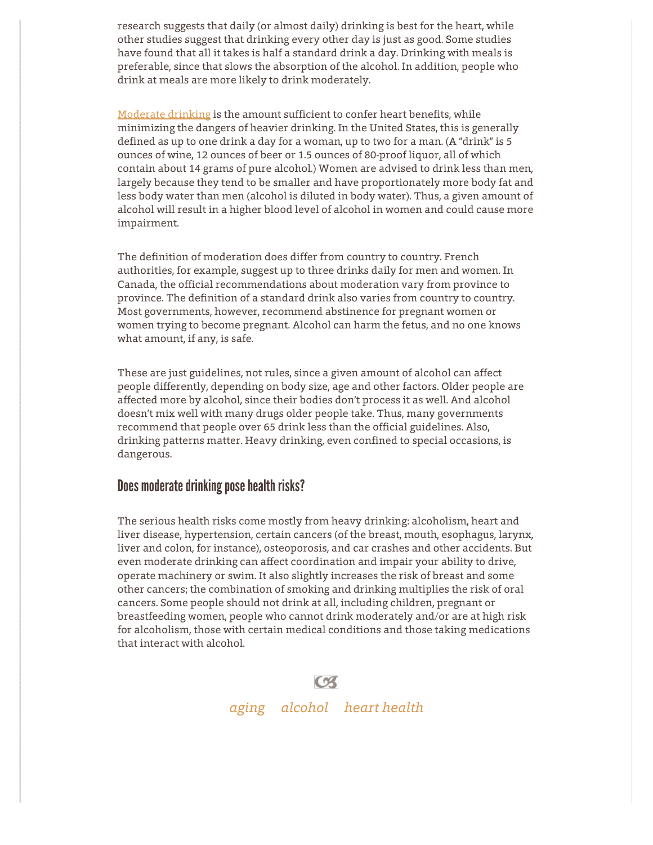research suggests that daily (or almost daily) drinking is best for the heart, while other studies suggest that drinking every other day is just as good. Some studies have found that all it takes is half a standard drink a day. Drinking with meals is preferable, since that slows the absorption of the alcohol. In addition, people who drink at meals are more likely to drink moderately.

[Moderate drinking](http://www.berkeleywellness.com/healthy-eating/food/article/alcohol-what-moderation-means) is the amount sufficient to confer heart benefits, while minimizing the dangers of heavier drinking. In the United States, this is generally defined as up to one drink a day for a woman, up to two for a man. (A "drink" is 5 ounces of wine, 12 ounces of beer or 1.5 ounces of 80-proof liquor, all of which contain about 14 grams of pure alcohol.) Women are advised to drink less than men, largely because they tend to be smaller and have proportionately more body fat and less body water than men (alcohol is diluted in body water). Thus, a given amount of alcohol will result in a higher blood level of alcohol in women and could cause more impairment.

The definition of moderation does differ from country to country. French authorities, for example, suggest up to three drinks daily for men and women. In Canada, the official recommendations about moderation vary from province to province. The definition of a standard drink also varies from country to country. Most governments, however, recommend abstinence for pregnant women or women trying to become pregnant. Alcohol can harm the fetus, and no one knows what amount, if any, is safe.

These are just guidelines, not rules, since a given amount of alcohol can affect people differently, depending on body size, age and other factors. Older people are affected more by alcohol, since their bodies don't process it as well. And alcohol doesn't mix well with many drugs older people take. Thus, many governments recommend that people over 65 drink less than the official guidelines. Also, drinking patterns matter. Heavy drinking, even confined to special occasions, is dangerous.

## Does moderate drinking pose health risks?

The serious health risks come mostly from heavy drinking: alcoholism, heart and liver disease, hypertension, certain cancers (of the breast, mouth, esophagus, larynx, liver and colon, for instance), osteoporosis, and car crashes and other accidents. But even moderate drinking can affect coordination and impair your ability to drive, operate machinery or swim. It also slightly increases the risk of breast and some other cancers; the combination of smoking and drinking multiplies the risk of oral cancers. Some people should not drink at all, including children, pregnant or breastfeeding women, people who cannot drink moderately and/or are at high risk for alcoholism, those with certain medical conditions and those taking medications that interact with alcohol.



*[aging](http://www.berkeleywellness.com/aging) [alcohol](http://www.berkeleywellness.com/alcohol) [heart health](http://www.berkeleywellness.com/heart-health)*